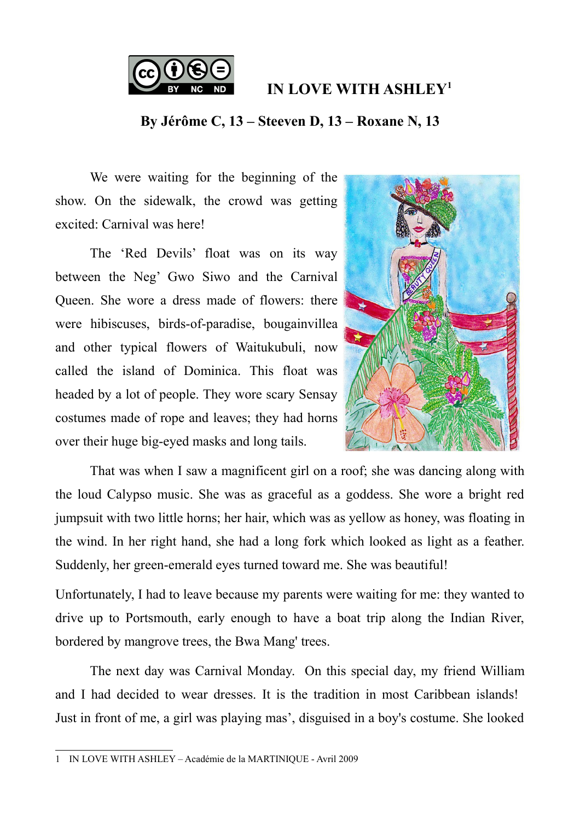

**IN LOVE WITH ASHLEY[1](#page-0-0)**

## **By Jérôme C, 13 – Steeven D, 13 – Roxane N, 13**

We were waiting for the beginning of the show. On the sidewalk, the crowd was getting excited: Carnival was here!

The 'Red Devils' float was on its way between the Neg' Gwo Siwo and the Carnival Queen. She wore a dress made of flowers: there were hibiscuses, birds-of-paradise, bougainvillea and other typical flowers of Waitukubuli, now called the island of Dominica. This float was headed by a lot of people. They wore scary Sensay costumes made of rope and leaves; they had horns over their huge big-eyed masks and long tails.



That was when I saw a magnificent girl on a roof; she was dancing along with the loud Calypso music. She was as graceful as a goddess. She wore a bright red jumpsuit with two little horns; her hair, which was as yellow as honey, was floating in the wind. In her right hand, she had a long fork which looked as light as a feather. Suddenly, her green-emerald eyes turned toward me. She was beautiful!

Unfortunately, I had to leave because my parents were waiting for me: they wanted to drive up to Portsmouth, early enough to have a boat trip along the Indian River, bordered by mangrove trees, the Bwa Mang' trees.

The next day was Carnival Monday. On this special day, my friend William and I had decided to wear dresses. It is the tradition in most Caribbean islands! Just in front of me, a girl was playing mas', disguised in a boy's costume. She looked

<span id="page-0-0"></span><sup>1</sup> IN LOVE WITH ASHLEY – Académie de la MARTINIQUE - Avril 2009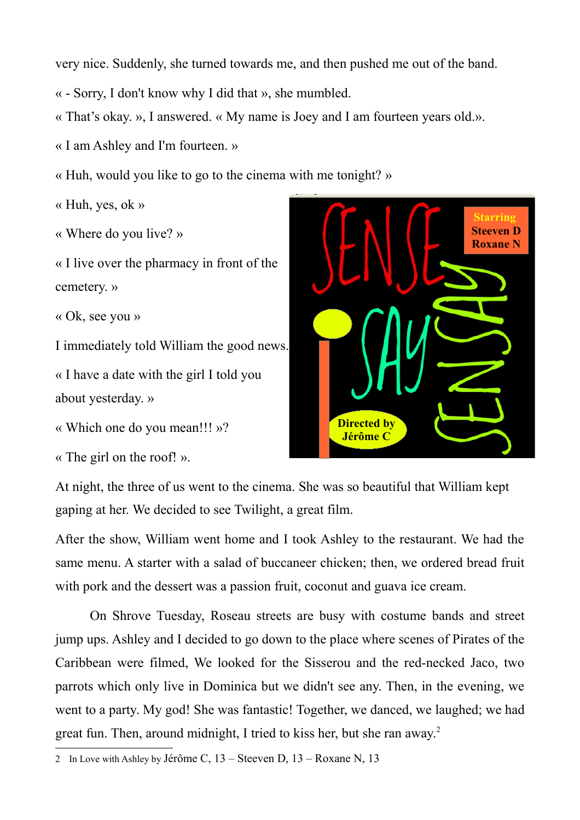very nice. Suddenly, she turned towards me, and then pushed me out of the band.

« - Sorry, I don't know why I did that », she mumbled.

« That's okay. », I answered. « My name is Joey and I am fourteen years old.».

« I am Ashley and I'm fourteen. »

« Huh, would you like to go to the cinema with me tonight? »

« Huh, yes, ok »

« Where do you live? »

« I live over the pharmacy in front of the cemetery. »

« Ok, see you »

I immediately told William the good news.

« I have a date with the girl I told you about yesterday. »

« Which one do you mean!!! »?

« The girl on the roof! ».



At night, the three of us went to the cinema. She was so beautiful that William kept gaping at her. We decided to see Twilight, a great film.

After the show, William went home and I took Ashley to the restaurant. We had the same menu. A starter with a salad of buccaneer chicken; then, we ordered bread fruit with pork and the dessert was a passion fruit, coconut and guava ice cream.

On Shrove Tuesday, Roseau streets are busy with costume bands and street jump ups. Ashley and I decided to go down to the place where scenes of Pirates of the Caribbean were filmed, We looked for the Sisserou and the red-necked Jaco, two parrots which only live in Dominica but we didn't see any. Then, in the evening, we went to a party. My god! She was fantastic! Together, we danced, we laughed; we had great fun. Then, around midnight, I tried to kiss her, but she ran away.<sup>[2](#page-1-0)</sup>

<span id="page-1-0"></span><sup>2</sup> In Love with Ashley by Jérôme C, 13 – Steeven D, 13 – Roxane N, 13